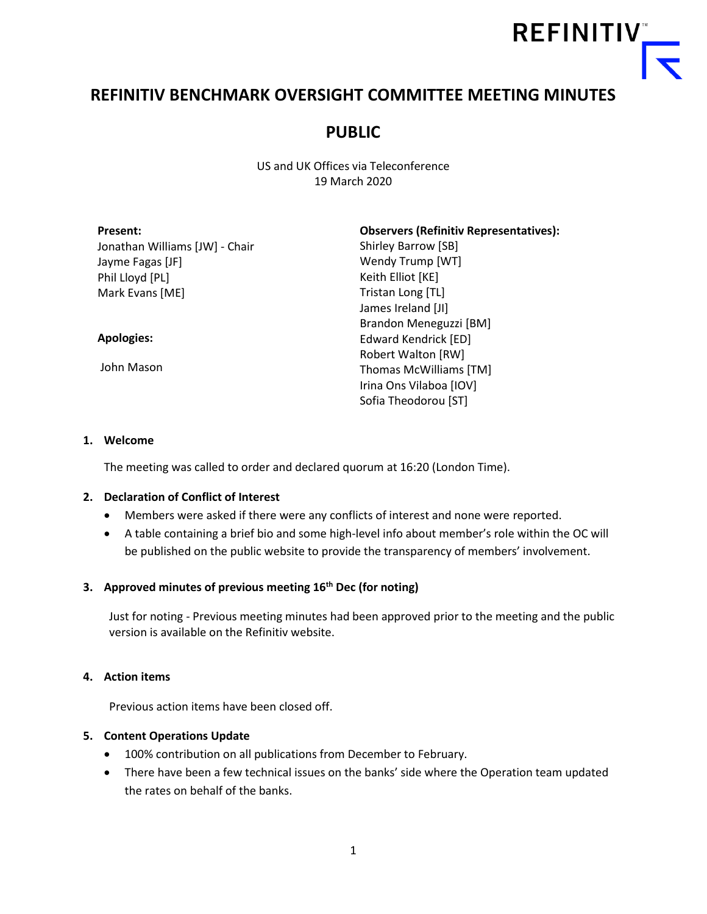

# **REFINITIV BENCHMARK OVERSIGHT COMMITTEE MEETING MINUTES**

# **PUBLIC**

US and UK Offices via Teleconference 19 March 2020

| <b>Present:</b>                | <b>Observers (Refinitiv Representatives):</b> |
|--------------------------------|-----------------------------------------------|
| Jonathan Williams [JW] - Chair | Shirley Barrow [SB]                           |
| Jayme Fagas [JF]               | Wendy Trump [WT]                              |
| Phil Lloyd [PL]                | Keith Elliot [KE]                             |
| Mark Evans [ME]                | Tristan Long [TL]                             |
|                                | James Ireland [JI]                            |
|                                | Brandon Meneguzzi [BM]                        |
| <b>Apologies:</b>              | Edward Kendrick [ED]                          |
|                                | Robert Walton [RW]                            |
| John Mason                     | Thomas McWilliams [TM]                        |
|                                | Irina Ons Vilaboa [IOV]                       |
|                                | Sofia Theodorou [ST]                          |

#### **1. Welcome**

The meeting was called to order and declared quorum at 16:20 (London Time).

#### **2. Declaration of Conflict of Interest**

- Members were asked if there were any conflicts of interest and none were reported.
- A table containing a brief bio and some high-level info about member's role within the OC will be published on the public website to provide the transparency of members' involvement.

### **3. Approved minutes of previous meeting 16th Dec (for noting)**

Just for noting - Previous meeting minutes had been approved prior to the meeting and the public version is available on the Refinitiv website.

### **4. Action items**

Previous action items have been closed off.

### **5. Content Operations Update**

- 100% contribution on all publications from December to February.
- There have been a few technical issues on the banks' side where the Operation team updated the rates on behalf of the banks.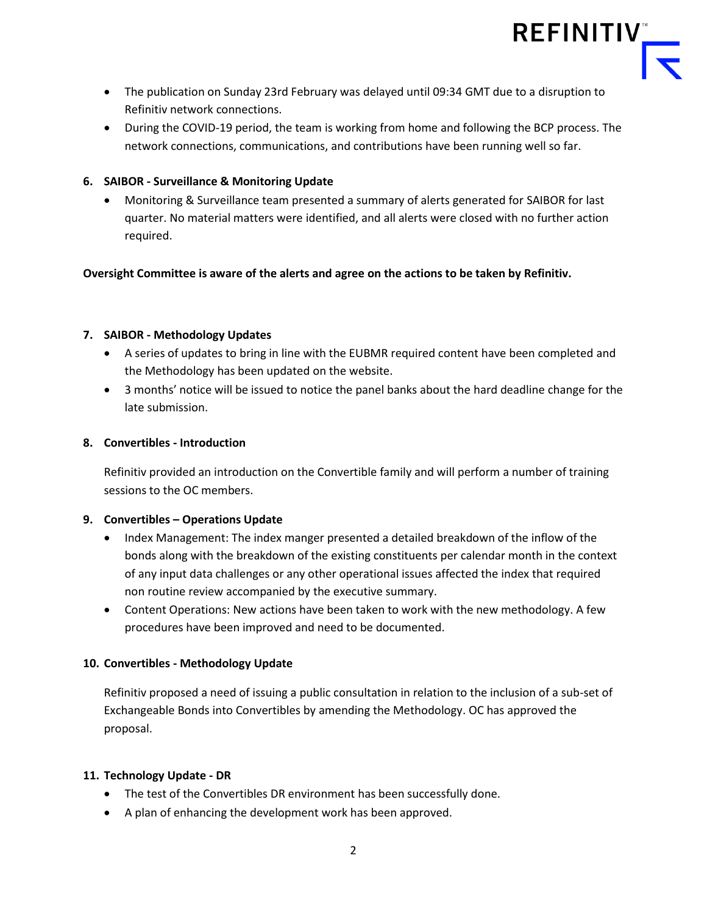

- The publication on Sunday 23rd February was delayed until 09:34 GMT due to a disruption to Refinitiv network connections.
- During the COVID-19 period, the team is working from home and following the BCP process. The network connections, communications, and contributions have been running well so far.

# **6. SAIBOR - Surveillance & Monitoring Update**

• Monitoring & Surveillance team presented a summary of alerts generated for SAIBOR for last quarter. No material matters were identified, and all alerts were closed with no further action required.

# **Oversight Committee is aware of the alerts and agree on the actions to be taken by Refinitiv.**

### **7. SAIBOR - Methodology Updates**

- A series of updates to bring in line with the EUBMR required content have been completed and the Methodology has been updated on the website.
- 3 months' notice will be issued to notice the panel banks about the hard deadline change for the late submission.

### **8. Convertibles - Introduction**

Refinitiv provided an introduction on the Convertible family and will perform a number of training sessions to the OC members.

### **9. Convertibles – Operations Update**

- Index Management: The index manger presented a detailed breakdown of the inflow of the bonds along with the breakdown of the existing constituents per calendar month in the context of any input data challenges or any other operational issues affected the index that required non routine review accompanied by the executive summary.
- Content Operations: New actions have been taken to work with the new methodology. A few procedures have been improved and need to be documented.

# **10. Convertibles - Methodology Update**

Refinitiv proposed a need of issuing a public consultation in relation to the inclusion of a sub-set of Exchangeable Bonds into Convertibles by amending the Methodology. OC has approved the proposal.

### **11. Technology Update - DR**

- The test of the Convertibles DR environment has been successfully done.
- A plan of enhancing the development work has been approved.